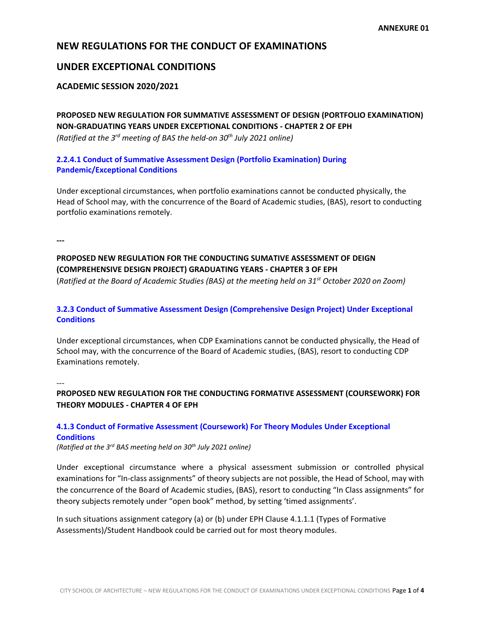# **NEW REGULATIONS FOR THE CONDUCT OF EXAMINATIONS**

# **UNDER EXCEPTIONAL CONDITIONS**

### **ACADEMIC SESSION 2020/2021**

**PROPOSED NEW REGULATION FOR SUMMATIVE ASSESSMENT OF DESIGN (PORTFOLIO EXAMINATION) NON-GRADUATING YEARS UNDER EXCEPTIONAL CONDITIONS - CHAPTER 2 OF EPH** *(Ratified at the 3rd meeting of BAS the held-on 30th July 2021 online)*

## **2.2.4.1 Conduct of Summative Assessment Design (Portfolio Examination) During Pandemic/Exceptional Conditions**

Under exceptional circumstances, when portfolio examinations cannot be conducted physically, the Head of School may, with the concurrence of the Board of Academic studies, (BAS), resort to conducting portfolio examinations remotely.

**---**

# **PROPOSED NEW REGULATION FOR THE CONDUCTING SUMATIVE ASSESSMENT OF DEIGN (COMPREHENSIVE DESIGN PROJECT) GRADUATING YEARS - CHAPTER 3 OF EPH**

(*Ratified at the Board of Academic Studies (BAS) at the meeting held on 31st October 2020 on Zoom)*

## **3.2.3 Conduct of Summative Assessment Design (Comprehensive Design Project) Under Exceptional Conditions**

Under exceptional circumstances, when CDP Examinations cannot be conducted physically, the Head of School may, with the concurrence of the Board of Academic studies, (BAS), resort to conducting CDP Examinations remotely.

---

# **PROPOSED NEW REGULATION FOR THE CONDUCTING FORMATIVE ASSESSMENT (COURSEWORK) FOR THEORY MODULES - CHAPTER 4 OF EPH**

# **4.1.3 Conduct of Formative Assessment (Coursework) For Theory Modules Under Exceptional Conditions**

*(Ratified at the 3rd BAS meeting held on 30th July 2021 online)*

Under exceptional circumstance where a physical assessment submission or controlled physical examinations for "In-class assignments" of theory subjects are not possible, the Head of School, may with the concurrence of the Board of Academic studies, (BAS), resort to conducting "In Class assignments" for theory subjects remotely under "open book" method, by setting 'timed assignments'.

In such situations assignment category (a) or (b) under EPH Clause 4.1.1.1 (Types of Formative Assessments)/Student Handbook could be carried out for most theory modules.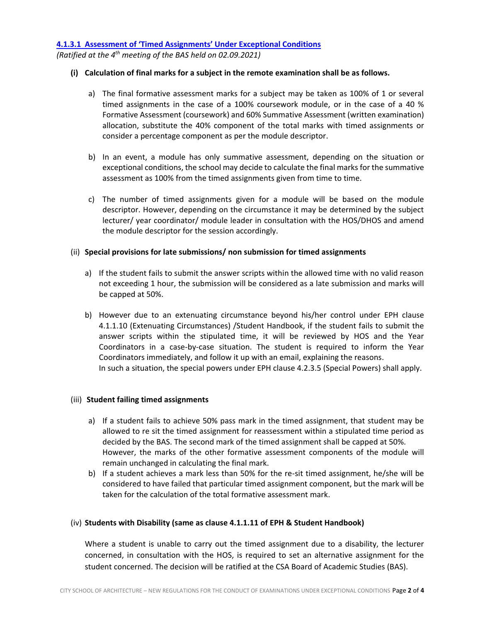#### **4.1.3.1 Assessment of 'Timed Assignments' Under Exceptional Conditions**

*(Ratified at the 4th meeting of the BAS held on 02.09.2021)*

#### **(i) Calculation of final marks for a subject in the remote examination shall be as follows.**

- a) The final formative assessment marks for a subject may be taken as 100% of 1 or several timed assignments in the case of a 100% coursework module, or in the case of a 40 % Formative Assessment (coursework) and 60% Summative Assessment (written examination) allocation, substitute the 40% component of the total marks with timed assignments or consider a percentage component as per the module descriptor.
- b) In an event, a module has only summative assessment, depending on the situation or exceptional conditions, the school may decide to calculate the final marks for the summative assessment as 100% from the timed assignments given from time to time.
- c) The number of timed assignments given for a module will be based on the module descriptor. However, depending on the circumstance it may be determined by the subject lecturer/ year coordinator/ module leader in consultation with the HOS/DHOS and amend the module descriptor for the session accordingly.

### (ii) **Special provisions for late submissions/ non submission for timed assignments**

- a) If the student fails to submit the answer scripts within the allowed time with no valid reason not exceeding 1 hour, the submission will be considered as a late submission and marks will be capped at 50%.
- b) However due to an extenuating circumstance beyond his/her control under EPH clause 4.1.1.10 (Extenuating Circumstances) /Student Handbook, if the student fails to submit the answer scripts within the stipulated time, it will be reviewed by HOS and the Year Coordinators in a case-by-case situation. The student is required to inform the Year Coordinators immediately, and follow it up with an email, explaining the reasons. In such a situation, the special powers under EPH clause 4.2.3.5 (Special Powers) shall apply.

#### (iii) **Student failing timed assignments**

- a) If a student fails to achieve 50% pass mark in the timed assignment, that student may be allowed to re sit the timed assignment for reassessment within a stipulated time period as decided by the BAS. The second mark of the timed assignment shall be capped at 50%. However, the marks of the other formative assessment components of the module will remain unchanged in calculating the final mark.
- b) If a student achieves a mark less than 50% for the re-sit timed assignment, he/she will be considered to have failed that particular timed assignment component, but the mark will be taken for the calculation of the total formative assessment mark.

## (iv) **Students with Disability (same as clause 4.1.1.11 of EPH & Student Handbook)**

Where a student is unable to carry out the timed assignment due to a disability, the lecturer concerned, in consultation with the HOS, is required to set an alternative assignment for the student concerned. The decision will be ratified at the CSA Board of Academic Studies (BAS).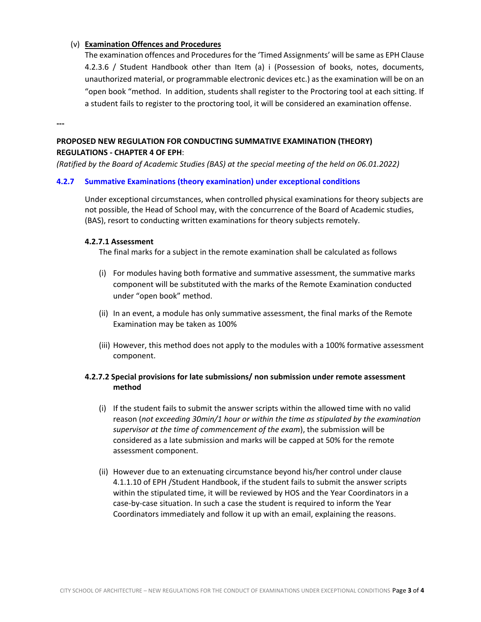### (v) **Examination Offences and Procedures**

The examination offences and Procedures for the 'Timed Assignments' will be same as EPH Clause 4.2.3.6 / Student Handbook other than Item (a) i (Possession of books, notes, documents, unauthorized material, or programmable electronic devices etc.) as the examination will be on an "open book "method. In addition, students shall register to the Proctoring tool at each sitting. If a student fails to register to the proctoring tool, it will be considered an examination offense.

**---**

## **PROPOSED NEW REGULATION FOR CONDUCTING SUMMATIVE EXAMINATION (THEORY) REGULATIONS - CHAPTER 4 OF EPH**:

*(Ratified by the Board of Academic Studies (BAS) at the special meeting of the held on 06.01.2022)*

### **4.2.7 Summative Examinations (theory examination) under exceptional conditions**

Under exceptional circumstances, when controlled physical examinations for theory subjects are not possible, the Head of School may, with the concurrence of the Board of Academic studies, (BAS), resort to conducting written examinations for theory subjects remotely.

### **4.2.7.1 Assessment**

The final marks for a subject in the remote examination shall be calculated as follows

- (i) For modules having both formative and summative assessment, the summative marks component will be substituted with the marks of the Remote Examination conducted under "open book" method.
- (ii) In an event, a module has only summative assessment, the final marks of the Remote Examination may be taken as 100%
- (iii) However, this method does not apply to the modules with a 100% formative assessment component.

## **4.2.7.2 Special provisions for late submissions/ non submission under remote assessment method**

- (i) If the student fails to submit the answer scripts within the allowed time with no valid reason (*not exceeding 30min/1 hour or within the time as stipulated by the examination supervisor at the time of commencement of the exam*), the submission will be considered as a late submission and marks will be capped at 50% for the remote assessment component.
- (ii) However due to an extenuating circumstance beyond his/her control under clause 4.1.1.10 of EPH /Student Handbook, if the student fails to submit the answer scripts within the stipulated time, it will be reviewed by HOS and the Year Coordinators in a case-by-case situation. In such a case the student is required to inform the Year Coordinators immediately and follow it up with an email, explaining the reasons.